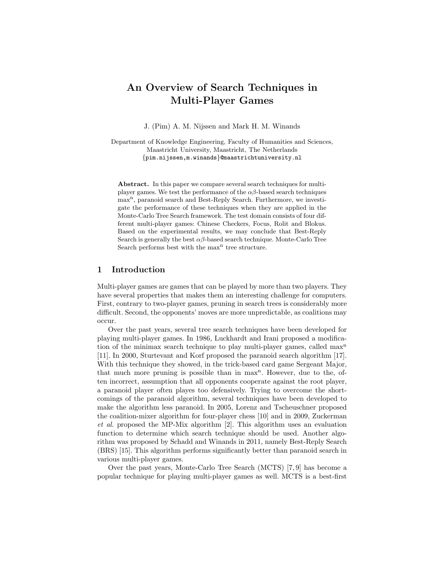# An Overview of Search Techniques in Multi-Player Games

J. (Pim) A. M. Nijssen and Mark H. M. Winands

Department of Knowledge Engineering, Faculty of Humanities and Sciences, Maastricht University, Maastricht, The Netherlands {pim.nijssen,m.winands}@maastrichtuniversity.nl

Abstract. In this paper we compare several search techniques for multiplayer games. We test the performance of the  $\alpha\beta$ -based search techniques max<sup>n</sup>, paranoid search and Best-Reply Search. Furthermore, we investigate the performance of these techniques when they are applied in the Monte-Carlo Tree Search framework. The test domain consists of four different multi-player games: Chinese Checkers, Focus, Rolit and Blokus. Based on the experimental results, we may conclude that Best-Reply Search is generally the best  $\alpha\beta$ -based search technique. Monte-Carlo Tree Search performs best with the max<sup>n</sup> tree structure.

# 1 Introduction

Multi-player games are games that can be played by more than two players. They have several properties that makes them an interesting challenge for computers. First, contrary to two-player games, pruning in search trees is considerably more difficult. Second, the opponents' moves are more unpredictable, as coalitions may occur.

Over the past years, several tree search techniques have been developed for playing multi-player games. In 1986, Luckhardt and Irani proposed a modification of the minimax search technique to play multi-player games, called max<sup>n</sup> [11]. In 2000, Sturtevant and Korf proposed the paranoid search algorithm [17]. With this technique they showed, in the trick-based card game Sergeant Major, that much more pruning is possible than in max<sup>n</sup>. However, due to the, often incorrect, assumption that all opponents cooperate against the root player, a paranoid player often playes too defensively. Trying to overcome the shortcomings of the paranoid algorithm, several techniques have been developed to make the algorithm less paranoid. In 2005, Lorenz and Tscheuschner proposed the coalition-mixer algorithm for four-player chess [10] and in 2009, Zuckerman et al. proposed the MP-Mix algorithm [2]. This algorithm uses an evaluation function to determine which search technique should be used. Another algorithm was proposed by Schadd and Winands in 2011, namely Best-Reply Search (BRS) [15]. This algorithm performs significantly better than paranoid search in various multi-player games.

Over the past years, Monte-Carlo Tree Search (MCTS) [7, 9] has become a popular technique for playing multi-player games as well. MCTS is a best-first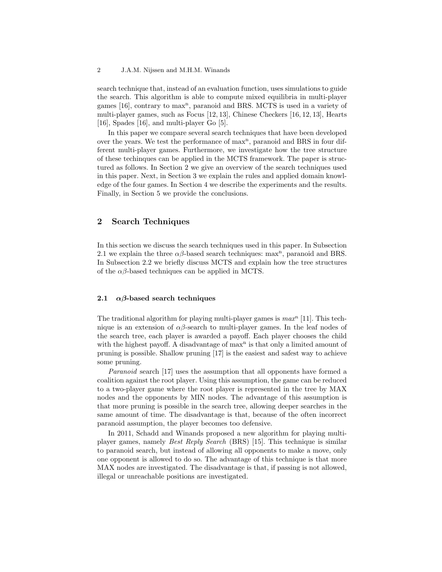search technique that, instead of an evaluation function, uses simulations to guide the search. This algorithm is able to compute mixed equilibria in multi-player games [16], contrary to max<sup>n</sup>, paranoid and BRS. MCTS is used in a variety of multi-player games, such as Focus [12, 13], Chinese Checkers [16, 12, 13], Hearts [16], Spades [16], and multi-player Go [5].

In this paper we compare several search techniques that have been developed over the years. We test the performance of max<sup>n</sup>, paranoid and BRS in four different multi-player games. Furthermore, we investigate how the tree structure of these techinques can be applied in the MCTS framework. The paper is structured as follows. In Section 2 we give an overview of the search techniques used in this paper. Next, in Section 3 we explain the rules and applied domain knowledge of the four games. In Section 4 we describe the experiments and the results. Finally, in Section 5 we provide the conclusions.

# 2 Search Techniques

In this section we discuss the search techniques used in this paper. In Subsection 2.1 we explain the three  $\alpha\beta$ -based search techniques: max<sup>n</sup>, paranoid and BRS. In Subsection 2.2 we briefly discuss MCTS and explain how the tree structures of the  $\alpha\beta$ -based techniques can be applied in MCTS.

#### 2.1  $\alpha\beta$ -based search techniques

The traditional algorithm for playing multi-player games is  $max<sup>n</sup>$  [11]. This technique is an extension of  $\alpha\beta$ -search to multi-player games. In the leaf nodes of the search tree, each player is awarded a payoff. Each player chooses the child with the highest payoff. A disadvantage of  $max<sup>n</sup>$  is that only a limited amount of pruning is possible. Shallow pruning [17] is the easiest and safest way to achieve some pruning.

Paranoid search [17] uses the assumption that all opponents have formed a coalition against the root player. Using this assumption, the game can be reduced to a two-player game where the root player is represented in the tree by MAX nodes and the opponents by MIN nodes. The advantage of this assumption is that more pruning is possible in the search tree, allowing deeper searches in the same amount of time. The disadvantage is that, because of the often incorrect paranoid assumption, the player becomes too defensive.

In 2011, Schadd and Winands proposed a new algorithm for playing multiplayer games, namely Best Reply Search (BRS) [15]. This technique is similar to paranoid search, but instead of allowing all opponents to make a move, only one opponent is allowed to do so. The advantage of this technique is that more MAX nodes are investigated. The disadvantage is that, if passing is not allowed, illegal or unreachable positions are investigated.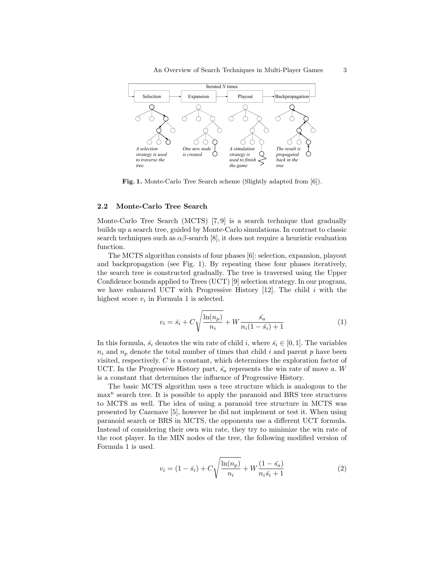

Fig. 1. Monte-Carlo Tree Search scheme (Slightly adapted from [6]).

## 2.2 Monte-Carlo Tree Search

Monte-Carlo Tree Search (MCTS) [7, 9] is a search technique that gradually builds up a search tree, guided by Monte-Carlo simulations. In contrast to classic search techniques such as  $\alpha\beta$ -search [8], it does not require a heuristic evaluation function.

The MCTS algorithm consists of four phases [6]: selection, expansion, playout and backpropagation (see Fig. 1). By repeating these four phases iteratively, the search tree is constructed gradually. The tree is traversed using the Upper Confidence bounds applied to Trees (UCT) [9] selection strategy. In our program, we have enhanced UCT with Progressive History  $[12]$ . The child i with the highest score  $v_i$  in Formula 1 is selected.

$$
v_i = \bar{s_i} + C\sqrt{\frac{\ln(n_p)}{n_i}} + W \frac{\bar{s_a}}{n_i(1 - \bar{s_i}) + 1}
$$
 (1)

In this formula,  $\bar{s_i}$  denotes the win rate of child i, where  $\bar{s_i} \in [0,1]$ . The variables  $n_i$  and  $n_p$  denote the total number of times that child i and parent p have been visited, respectively. C is a constant, which determines the exploration factor of UCT. In the Progressive History part,  $\bar{s}_a$  represents the win rate of move a. W is a constant that determines the influence of Progressive History.

The basic MCTS algorithm uses a tree structure which is analogous to the max<sup>n</sup> search tree. It is possible to apply the paranoid and BRS tree structures to MCTS as well. The idea of using a paranoid tree structure in MCTS was presented by Cazenave [5], however he did not implement or test it. When using paranoid search or BRS in MCTS, the opponents use a different UCT formula. Instead of considering their own win rate, they try to minimize the win rate of the root player. In the MIN nodes of the tree, the following modified version of Formula 1 is used.

$$
v_i = (1 - \bar{s_i}) + C\sqrt{\frac{\ln(n_p)}{n_i}} + W\frac{(1 - \bar{s_a})}{n_i \bar{s_i} + 1}
$$
 (2)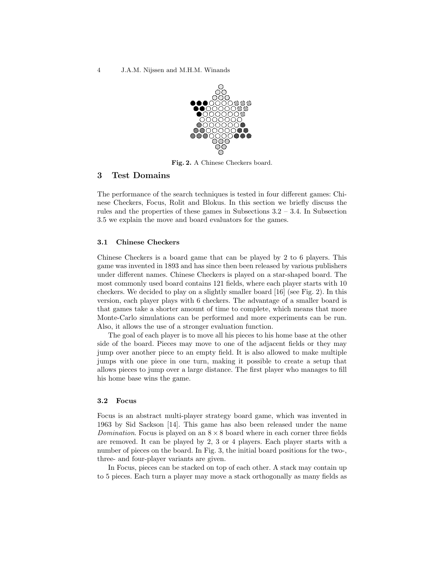4 J.A.M. Nijssen and M.H.M. Winands



Fig. 2. A Chinese Checkers board.

# 3 Test Domains

The performance of the search techniques is tested in four different games: Chinese Checkers, Focus, Rolit and Blokus. In this section we briefly discuss the rules and the properties of these games in Subsections  $3.2 - 3.4$ . In Subsection 3.5 we explain the move and board evaluators for the games.

# 3.1 Chinese Checkers

Chinese Checkers is a board game that can be played by 2 to 6 players. This game was invented in 1893 and has since then been released by various publishers under different names. Chinese Checkers is played on a star-shaped board. The most commonly used board contains 121 fields, where each player starts with 10 checkers. We decided to play on a slightly smaller board [16] (see Fig. 2). In this version, each player plays with 6 checkers. The advantage of a smaller board is that games take a shorter amount of time to complete, which means that more Monte-Carlo simulations can be performed and more experiments can be run. Also, it allows the use of a stronger evaluation function.

The goal of each player is to move all his pieces to his home base at the other side of the board. Pieces may move to one of the adjacent fields or they may jump over another piece to an empty field. It is also allowed to make multiple jumps with one piece in one turn, making it possible to create a setup that allows pieces to jump over a large distance. The first player who manages to fill his home base wins the game.

### 3.2 Focus

Focus is an abstract multi-player strategy board game, which was invented in 1963 by Sid Sackson [14]. This game has also been released under the name Domination. Focus is played on an  $8 \times 8$  board where in each corner three fields are removed. It can be played by 2, 3 or 4 players. Each player starts with a number of pieces on the board. In Fig. 3, the initial board positions for the two-, three- and four-player variants are given.

In Focus, pieces can be stacked on top of each other. A stack may contain up to 5 pieces. Each turn a player may move a stack orthogonally as many fields as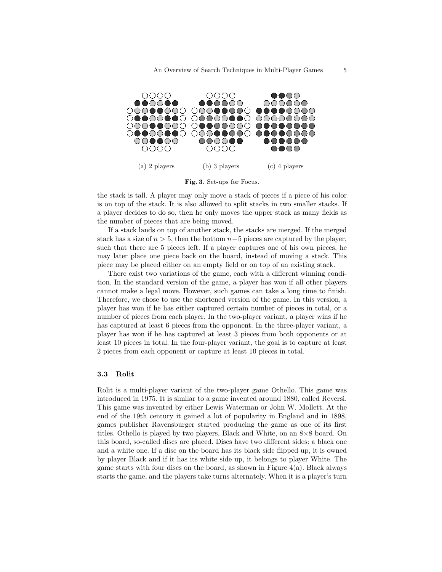

Fig. 3. Set-ups for Focus.

the stack is tall. A player may only move a stack of pieces if a piece of his color is on top of the stack. It is also allowed to split stacks in two smaller stacks. If a player decides to do so, then he only moves the upper stack as many fields as the number of pieces that are being moved.

If a stack lands on top of another stack, the stacks are merged. If the merged stack has a size of  $n > 5$ , then the bottom  $n-5$  pieces are captured by the player, such that there are 5 pieces left. If a player captures one of his own pieces, he may later place one piece back on the board, instead of moving a stack. This piece may be placed either on an empty field or on top of an existing stack.

There exist two variations of the game, each with a different winning condition. In the standard version of the game, a player has won if all other players cannot make a legal move. However, such games can take a long time to finish. Therefore, we chose to use the shortened version of the game. In this version, a player has won if he has either captured certain number of pieces in total, or a number of pieces from each player. In the two-player variant, a player wins if he has captured at least 6 pieces from the opponent. In the three-player variant, a player has won if he has captured at least 3 pieces from both opponents or at least 10 pieces in total. In the four-player variant, the goal is to capture at least 2 pieces from each opponent or capture at least 10 pieces in total.

### 3.3 Rolit

Rolit is a multi-player variant of the two-player game Othello. This game was introduced in 1975. It is similar to a game invented around 1880, called Reversi. This game was invented by either Lewis Waterman or John W. Mollett. At the end of the 19th century it gained a lot of popularity in England and in 1898, games publisher Ravensburger started producing the game as one of its first titles. Othello is played by two players, Black and White, on an 8×8 board. On this board, so-called discs are placed. Discs have two different sides: a black one and a white one. If a disc on the board has its black side flipped up, it is owned by player Black and if it has its white side up, it belongs to player White. The game starts with four discs on the board, as shown in Figure 4(a). Black always starts the game, and the players take turns alternately. When it is a player's turn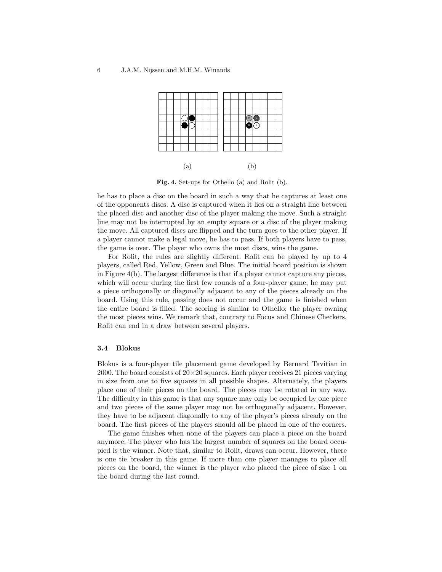

Fig. 4. Set-ups for Othello (a) and Rolit (b).

he has to place a disc on the board in such a way that he captures at least one of the opponents discs. A disc is captured when it lies on a straight line between the placed disc and another disc of the player making the move. Such a straight line may not be interrupted by an empty square or a disc of the player making the move. All captured discs are flipped and the turn goes to the other player. If a player cannot make a legal move, he has to pass. If both players have to pass, the game is over. The player who owns the most discs, wins the game.

For Rolit, the rules are slightly different. Rolit can be played by up to 4 players, called Red, Yellow, Green and Blue. The initial board position is shown in Figure 4(b). The largest difference is that if a player cannot capture any pieces, which will occur during the first few rounds of a four-player game, he may put a piece orthogonally or diagonally adjacent to any of the pieces already on the board. Using this rule, passing does not occur and the game is finished when the entire board is filled. The scoring is similar to Othello; the player owning the most pieces wins. We remark that, contrary to Focus and Chinese Checkers, Rolit can end in a draw between several players.

#### 3.4 Blokus

Blokus is a four-player tile placement game developed by Bernard Tavitian in 2000. The board consists of  $20 \times 20$  squares. Each player receives 21 pieces varying in size from one to five squares in all possible shapes. Alternately, the players place one of their pieces on the board. The pieces may be rotated in any way. The difficulty in this game is that any square may only be occupied by one piece and two pieces of the same player may not be orthogonally adjacent. However, they have to be adjacent diagonally to any of the player's pieces already on the board. The first pieces of the players should all be placed in one of the corners.

The game finishes when none of the players can place a piece on the board anymore. The player who has the largest number of squares on the board occupied is the winner. Note that, similar to Rolit, draws can occur. However, there is one tie breaker in this game. If more than one player manages to place all pieces on the board, the winner is the player who placed the piece of size 1 on the board during the last round.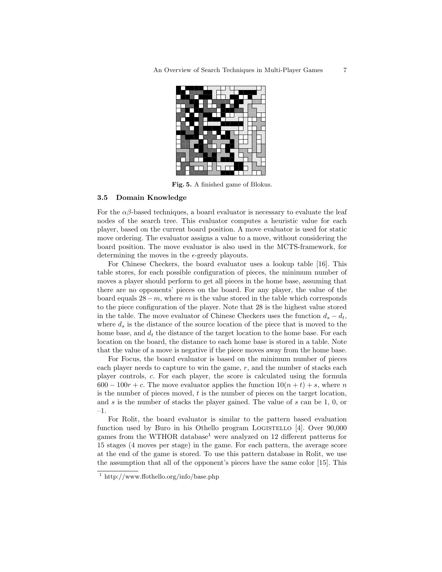

Fig. 5. A finished game of Blokus.

#### 3.5 Domain Knowledge

For the  $\alpha\beta$ -based techniques, a board evaluator is necessary to evaluate the leaf nodes of the search tree. This evaluator computes a heuristic value for each player, based on the current board position. A move evaluator is used for static move ordering. The evaluator assigns a value to a move, without considering the board position. The move evaluator is also used in the MCTS-framework, for determining the moves in the  $\epsilon$ -greedy playouts.

For Chinese Checkers, the board evaluator uses a lookup table [16]. This table stores, for each possible configuration of pieces, the minimum number of moves a player should perform to get all pieces in the home base, assuming that there are no opponents' pieces on the board. For any player, the value of the board equals  $28-m$ , where m is the value stored in the table which corresponds to the piece configuration of the player. Note that 28 is the highest value stored in the table. The move evaluator of Chinese Checkers uses the function  $d_s - d_t$ , where  $d_s$  is the distance of the source location of the piece that is moved to the home base, and  $d_t$  the distance of the target location to the home base. For each location on the board, the distance to each home base is stored in a table. Note that the value of a move is negative if the piece moves away from the home base.

For Focus, the board evaluator is based on the minimum number of pieces each player needs to capture to win the game,  $r$ , and the number of stacks each player controls, c. For each player, the score is calculated using the formula  $600 - 100r + c$ . The move evaluator applies the function  $10(n + t) + s$ , where n is the number of pieces moved,  $t$  is the number of pieces on the target location, and s is the number of stacks the player gained. The value of s can be 1, 0, or –1.

For Rolit, the board evaluator is similar to the pattern based evaluation function used by Buro in his Othello program LOGISTELLO [4]. Over 90,000 games from the WTHOR database<sup>1</sup> were analyzed on 12 different patterns for 15 stages (4 moves per stage) in the game. For each pattern, the average score at the end of the game is stored. To use this pattern database in Rolit, we use the assumption that all of the opponent's pieces have the same color [15]. This

<sup>1</sup> http://www.ffothello.org/info/base.php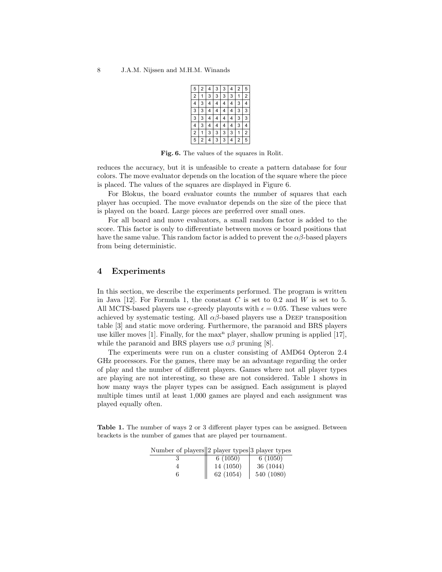| 5              | 2 | 4 | 3 | 3 | 4 | 2 | 5 |  |
|----------------|---|---|---|---|---|---|---|--|
| $\overline{c}$ | 1 | 3 | 3 | 3 | 3 | 1 | 2 |  |
| 4              | 3 | 4 | 4 | 4 | 4 | 3 | 4 |  |
| 3              | 3 | 4 | 4 | 4 | 4 | 3 | 3 |  |
| 3              | 3 | 4 |   |   | 4 | 3 | 3 |  |
| 4              | 3 | 4 | 4 | 4 | 4 | 3 | 4 |  |
| 2              | 1 | 3 | 3 | 3 | 3 | 1 | 2 |  |
| 5              | 2 | 4 | 3 | 3 |   | 2 | 5 |  |

Fig. 6. The values of the squares in Rolit.

reduces the accuracy, but it is unfeasible to create a pattern database for four colors. The move evaluator depends on the location of the square where the piece is placed. The values of the squares are displayed in Figure 6.

For Blokus, the board evaluator counts the number of squares that each player has occupied. The move evaluator depends on the size of the piece that is played on the board. Large pieces are preferred over small ones.

For all board and move evaluators, a small random factor is added to the score. This factor is only to differentiate between moves or board positions that have the same value. This random factor is added to prevent the  $\alpha\beta$ -based players from being deterministic.

## 4 Experiments

In this section, we describe the experiments performed. The program is written in Java [12]. For Formula 1, the constant  $C$  is set to 0.2 and  $W$  is set to 5. All MCTS-based players use  $\epsilon$ -greedy playouts with  $\epsilon = 0.05$ . These values were achieved by systematic testing. All  $\alpha\beta$ -based players use a DEEP transposition table [3] and static move ordering. Furthermore, the paranoid and BRS players use killer moves [1]. Finally, for the max<sup>n</sup> player, shallow pruning is applied [17], while the paranoid and BRS players use  $\alpha\beta$  pruning [8].

The experiments were run on a cluster consisting of AMD64 Opteron 2.4 GHz processors. For the games, there may be an advantage regarding the order of play and the number of different players. Games where not all player types are playing are not interesting, so these are not considered. Table 1 shows in how many ways the player types can be assigned. Each assignment is played multiple times until at least 1,000 games are played and each assignment was played equally often.

Table 1. The number of ways 2 or 3 different player types can be assigned. Between brackets is the number of games that are played per tournament.

| $\alpha$ and $\alpha$ prayers a prayer types of prayer types |           |            |
|--------------------------------------------------------------|-----------|------------|
|                                                              | 6(1050)   | 6(1050)    |
|                                                              | 14 (1050) | 36(1044)   |
|                                                              | 62(1054)  | 540 (1080) |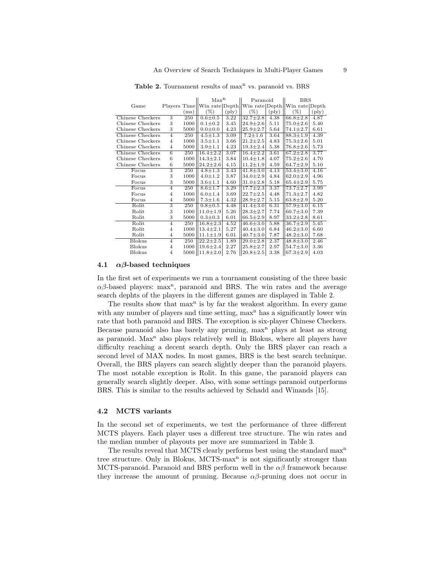|                  |                |      | Max <sup>n</sup> |                | Paranoid       |                | <b>BRS</b>                                                   |                |
|------------------|----------------|------|------------------|----------------|----------------|----------------|--------------------------------------------------------------|----------------|
| Game             |                |      |                  |                |                |                | Players Time  Win rate Depth  Win rate Depth  Win rate Depth |                |
|                  |                | (ms) | $(\%)$           | $(\text{ply})$ | $(\%)$         | $(\text{ply})$ | $(\%)$                                                       | $(\text{ply})$ |
| Chinese Checkers | 3              | 250  | $0.6 + 0.5$      | 3.22           | $32.7 \pm 2.8$ | 4.38           | $66.8 \pm 2.8$                                               | 4.87           |
| Chinese Checkers | 3              | 1000 | $0.1 \pm 0.2$    | 3.45           | $24.9 \pm 2.6$ | 5.11           | $75.0 \pm 2.6$                                               | 5.40           |
| Chinese Checkers | 3              | 5000 | $0.0 + 0.0$      | 4.23           | $25.9 \pm 2.7$ | 5.64           | $74.1 \pm 2.7$                                               | 6.61           |
| Chinese Checkers | $\overline{4}$ | 250  | $4.5 \pm 1.3$    | 3.09           | $7.2 \pm 1.6$  | 3.64           | $88.3 \pm 1.9$                                               | 4.39           |
| Chinese Checkers | $\overline{4}$ | 1000 | $3.5 + 1.1$      | 3.66           | $21.2 \pm 2.5$ | 4.83           | $75.3 \pm 2.6$                                               | 5.01           |
| Chinese Checkers | $\overline{4}$ | 5000 | $3.9 + 1.1$      | 4.23           | $19.3 \pm 2.4$ | 5.38           | $76.8 \pm 2.6$                                               | 5.73           |
| Chinese Checkers | $\overline{6}$ | 250  | $16.4 \pm 2.2$   | 3.07           | $16.4 \pm 2.2$ | 3.61           | $67.2 \pm 2.8$                                               | 3.77           |
| Chinese Checkers | 6              | 1000 | $14.3 \pm 2.1$   | 3.84           | $10.4 \pm 1.8$ | 4.07           | $75.2 \pm 2.6$                                               | 4.70           |
| Chinese Checkers | 6              | 5000 | $24.2 \pm 2.6$   | 4.15           | $11.2 \pm 1.9$ | 4.59           | $64.7 \pm 2.9$                                               | 5.10           |
| Focus            | $\overline{3}$ | 250  | $4.8 \pm 1.3$    | 3.43           | $41.8 \pm 3.0$ | 4.13           | $53.4 \pm 3.0$                                               | 4.16           |
| Focus            | 3              | 1000 | $4.0 \pm 1.2$    | 3.87           | $34.0 \pm 2.9$ | 4.84           | $62.0 + 2.9$                                                 | 4.96           |
| Focus            | 3              | 5000 | $3.6 + 1.1$      | 4.60           | $31.0 \pm 2.8$ | 5.18           | $65.4 \pm 2.9$                                               | 5.75           |
| Focus            | $\overline{4}$ | 250  | $8.6 + 1.7$      | 3.29           | $17.7 \pm 2.3$ | 3.37           | $73.7 + 2.7$                                                 | 3.99           |
| Focus            | $\overline{4}$ | 1000 | $6.0 + 1.4$      | 3.69           | $22.7 \pm 2.5$ | 4.48           | $71.3 \pm 2.7$                                               | 4.82           |
| Focus            | $\overline{4}$ | 5000 | $7.3 + 1.6$      | 4.32           | $28.9 \pm 2.7$ | 5.15           | $63.8 \pm 2.9$                                               | 5.20           |
| Rolit            | 3              | 250  | $0.8 + 0.5$      | 4.48           | $41.4 \pm 3.0$ | 6.31           | $57.9 \pm 3.0$                                               | 6.15           |
| Rolit            | 3              | 1000 | $11.0 \pm 1.9$   | 5.26           | $28.3 \pm 2.7$ | 7.74           | $60.7 + 3.0$                                                 | 7.39           |
| Rolit            | 3              | 5000 | $0.3 \pm 0.3$    | 6.01           | $66.5 \pm 2.9$ | 8.97           | $33.2 \pm 2.8$                                               | 8.61           |
| Rolit            | $\overline{4}$ | 250  | $16.8 \pm 2.3$   | 4.52           | $46.6 \pm 3.0$ | 5.88           | $36.7 + 2.9$                                                 | 5.45           |
| Rolit            | 4              | 1000 | $13.4 \pm 2.1$   | 5.27           | $40.4 \pm 3.0$ | 6.84           | $46.2 \pm 3.0$                                               | 6.60           |
| Rolit            | $\overline{4}$ | 5000 | $11.1 \pm 1.9$   | 6.01           | $40.7 \pm 3.0$ | 7.87           | $48.2 \pm 3.0$                                               | 7.68           |
| <b>Blokus</b>    | $\overline{4}$ | 250  | $22.2 \pm 2.5$   | 1.89           | $29.0 \pm 2.8$ | 2.37           | $48.8 \pm 3.0$                                               | 2.46           |
| <b>Blokus</b>    | $\overline{4}$ | 1000 | $19.6 \pm 2.4$   | 2.27           | $25.8 \pm 2.7$ | 2.97           | $54.7 \pm 3.0$                                               | 3.36           |
| <b>Blokus</b>    | 4              | 5000 | $11.8 \pm 2.0$   | 2.76           | $20.8 \pm 2.5$ | 3.38           | $67.3 \pm 2.9$                                               | 4.03           |

Table 2. Tournament results of max<sup>n</sup> vs. paranoid vs. BRS

#### 4.1  $\alpha\beta$ -based techniques

In the first set of experiments we run a tournament consisting of the three basic  $\alpha\beta$ -based players: max<sup>n</sup>, paranoid and BRS. The win rates and the average search dephts of the players in the different games are displayed in Table 2.

The results show that  $max<sup>n</sup>$  is by far the weakest algorithm. In every game with any number of players and time setting,  $\max$ <sup>n</sup> has a significantly lower win rate that both paranoid and BRS. The exception is six-player Chinese Checkers. Because paranoid also has barely any pruning, max<sup>n</sup> plays at least as strong as paranoid.  $Max<sup>n</sup>$  also plays relatively well in Blokus, where all players have difficulty reaching a decent search depth. Only the BRS player can reach a second level of MAX nodes. In most games, BRS is the best search technique. Overall, the BRS players can search slightly deeper than the paranoid players. The most notable exception is Rolit. In this game, the paranoid players can generally search slightly deeper. Also, with some settings paranoid outperforms BRS. This is similar to the results achieved by Schadd and Winands [15].

#### 4.2 MCTS variants

In the second set of experiments, we test the performance of three different MCTS players. Each player uses a different tree structure. The win rates and the median number of playouts per move are summarized in Table 3.

The results reveal that MCTS clearly performs best using the standard max<sup>n</sup> tree structure. Only in Blokus, MCTS-max<sup>n</sup> is not significantly stronger than MCTS-paranoid. Paranoid and BRS perform well in the  $\alpha\beta$  framework because they increase the amount of pruning. Because  $\alpha\beta$ -pruning does not occur in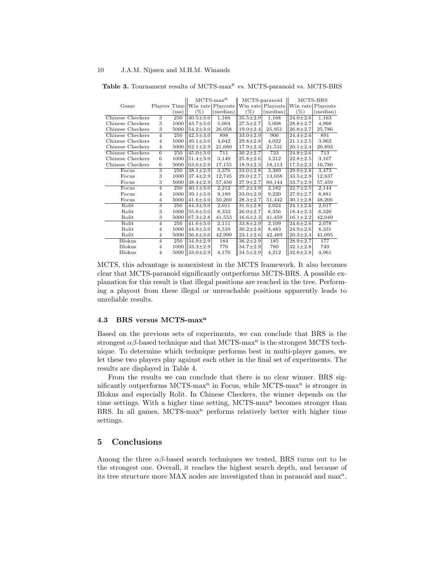Table 3. Tournament results of MCTS-max<sup>n</sup> vs. MCTS-paranoid vs. MCTS-BRS

|                  |                           |      | $MCTS-maxn$                      |          | MCTS-paranoid  |                   | MCTS-BRS          |          |
|------------------|---------------------------|------|----------------------------------|----------|----------------|-------------------|-------------------|----------|
| Game             |                           |      | Players Time  Win rate  Playouts |          |                | Win rate Playouts | Win rate Playouts |          |
|                  |                           | (ms) | $(\%)$                           | (median) | $(\%)$         | (median)          | $(\%)$            | (median) |
| Chinese Checkers | 3                         | 250  | $40.5 \pm 3.0$                   | 1,166    | $35.5 \pm 2.9$ | 1,168             | $24.0 \pm 2.6$    | 1,163    |
| Chinese Checkers | 3                         | 1000 | $43.7 \pm 3.0$                   | 5,004    | $27.5 \pm 2.7$ | 5,008             | $28.8 \pm 2.7$    | 4,968    |
| Chinese Checkers | 3                         | 5000 | $54.2 \pm 3.0$                   | 26,058   | $19.0 \pm 2.4$ | 25,951            | $26.8 \pm 2.7$    | 25,786   |
| Chinese Checkers | $\overline{4}$            | 250  | $42.5 \pm 3.0$                   | 898      | $33.0 \pm 2.9$ | 900               | $24.4 \pm 2.6$    | 891      |
| Chinese Checkers | $\overline{4}$            | 1000 | $49.1 \pm 3.0$                   | 4,042    | $29.8 \pm 2.8$ | 4,022             | $21.1 \pm 2.5$    | 3,962    |
| Chinese Checkers | $\overline{4}$            | 5000 | $62.1 \pm 2.9$                   | 21,680   | $17.9 \pm 2.3$ | 21,531            | $20.1 \pm 2.4$    | 20,893   |
| Chinese Checkers | 6                         | 250  | $45.0 \pm 3.0$                   | 711      | $30.2 \pm 2.7$ | 723               | $24.8 \pm 2.6$    | 713      |
| Chinese Checkers | 6                         | 1000 | $51.4 \pm 3.0$                   | 3,140    | $25.8 \pm 2.6$ | 3,212             | $22.8 \pm 2.5$    | 3,167    |
| Chinese Checkers | 6                         | 5000 | $63.6 \pm 2.9$                   | 17,155   | $18.9 \pm 2.3$ | 18,113            | $17.5 \pm 2.3$    | 16,780   |
| Focus            | $\overline{\overline{3}}$ | 250  | $38.1 \pm 2.9$                   | 3,370    | $33.0 \pm 2.8$ | 3,389             | $29.9 \pm 2.8$    | 3,473    |
| Focus            | 3                         | 1000 | $37.4 \pm 2.9$                   | 12,745   | $29.0 \pm 2.7$ | 13.058            | $33.5 \pm 2.9$    | 12,837   |
| Focus            | 3                         | 5000 | $ 38.4 \pm 2.9 $                 | 57,450   | $27.9 \pm 2.7$ | 60,144            | $33.7 \pm 2.9$    | 57,459   |
| Focus            | $\overline{4}$            | 250  | $40.1 \pm 3.0$                   | 2,212    | $37.2 \pm 2.9$ | 2,182             | $22.7 \pm 2.5$    | 2,144    |
| Focus            | $\overline{4}$            | 1000 | $39.1 \pm 3.0$                   | 9,189    | $33.0 \pm 2.9$ | 9,220             | $27.9 \pm 2.7$    | 8,881    |
| Focus            | $\overline{4}$            | 5000 | $41.6 \pm 3.0$                   | 50,260   | $28.3 \pm 2.7$ | 51,442            | $30.1 \pm 2.8$    | 48,206   |
| Rolit            | 3                         | 250  | $44.3 \pm 3.0$                   | 2,011    | $31.6 \pm 2.8$ | 2,024             | $24.1 \pm 2.6$    | 2,017    |
| Rolit            | 3                         | 1000 | $55.6 \pm 3.0$                   | 8,333    | $26.0 \pm 2.7$ | 8,356             | $18.4 \pm 2.3$    | 8,320    |
| Rolit            | 3                         | 5000 | $67.3 \pm 2.8$                   | 41,553   | $16.6 \pm 2.3$ | 41,459            | $16.1 \pm 2.2$    | 42,049   |
| Rolit            | $\overline{4}$            | 250  | $41.6 \pm 3.0$                   | 2,111    | $33.8 \pm 2.9$ | 2,109             | $24.6 \pm 2.6$    | 2,078    |
| Rolit            | $\overline{4}$            | 1000 | $44.9 \pm 3.0$                   | 8,510    | $30.2 \pm 2.8$ | 8,483             | $24.9 \pm 2.6$    | 8,331    |
| Rolit            | $\overline{4}$            | 5000 | $56.6 \pm 3.0$                   | 42,999   | $23.1 \pm 2.6$ | 42,489            | $20.3 \pm 2.4$    | 41,095   |
| <b>Blokus</b>    | $\overline{4}$            | 250  | $34.9 \pm 2.9$                   | 184      | $36.2 \pm 2.9$ | 185               | $28.9 \pm 2.7$    | 177      |
| <b>Blokus</b>    | $\overline{4}$            | 1000 | $33.3 \pm 2.9$                   | 776      | $34.7 \pm 2.9$ | 780               | $32.1 \pm 2.8$    | 749      |
| <b>Blokus</b>    | $\overline{4}$            | 5000 | $33.0 \pm 2.9$                   | 4,170    | $34.5 \pm 2.9$ | 4,212             | $32.6 \pm 2.8$    | 4,061    |

MCTS, this advantage is nonexistent in the MCTS framework. It also becomes clear that MCTS-paranoid significantly outperforms MCTS-BRS. A possible explanation for this result is that illegal positions are reached in the tree. Performing a playout from these illegal or unreachable positions apparently leads to unreliable results.

#### 4.3 BRS versus MCTS-max<sup>n</sup>

Based on the previous sets of experiments, we can conclude that BRS is the strongest  $\alpha\beta$ -based technique and that MCTS-max<sup>n</sup> is the strongest MCTS technique. To determine which technique performs best in multi-player games, we let these two players play against each other in the final set of experiments. The results are displayed in Table 4.

From the results we can conclude that there is no clear winner. BRS significantly outperforms MCTS-max<sup>n</sup> in Focus, while MCTS-max<sup>n</sup> is stronger in Blokus and especially Rolit. In Chinese Checkers, the winner depends on the time settings. With a higher time setting,  $MCTS$ -max<sup>n</sup> becomes stronger than BRS. In all games,  $MCTS-max<sup>n</sup>$  performs relatively better with higher time settings.

## 5 Conclusions

Among the three  $\alpha\beta$ -based search techniques we tested, BRS turns out to be the strongest one. Overall, it reaches the highest search depth, and because of its tree structure more MAX nodes are investigated than in paranoid and max<sup>n</sup>.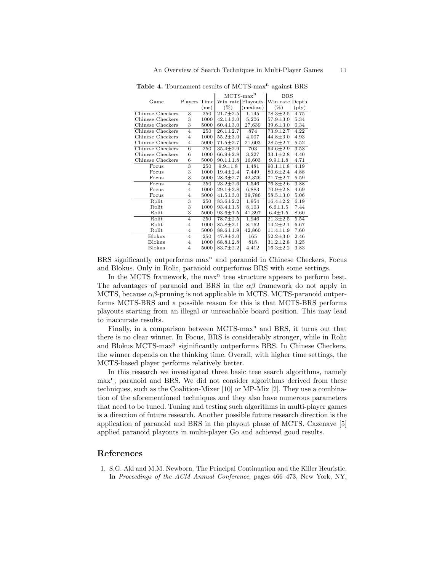|                  |                           |      | $MCTS-maxn$                     |          | <b>BRS</b>                |                |  |
|------------------|---------------------------|------|---------------------------------|----------|---------------------------|----------------|--|
| Game             |                           |      | Players Time  Win rate Playouts |          | Win rate Depth            |                |  |
|                  |                           | (ms) | $(\%)$                          | (median) | $(\% )$                   | $(\text{ply})$ |  |
| Chinese Checkers | 3                         | 250  | $21.7 \pm 2.5$                  | 1,145    | $\sqrt{78.3} \pm 2.5$     | 4.75           |  |
| Chinese Checkers | 3                         | 1000 | $42.1 \pm 3.0$                  | 5,206    | $57.9 \pm 3.0$            | 5.34           |  |
| Chinese Checkers | 3                         | 5000 | $60.4 \pm 3.0$                  | 27,639   | $39.6 \pm 3.0$            | 6.34           |  |
| Chinese Checkers | $\overline{4}$            | 250  | $26.1 \pm 2.7$                  | 874      | $73.9 \pm 2.7$            | 4.22           |  |
| Chinese Checkers | $\overline{4}$            | 1000 | $55.2 \pm 3.0$                  | 4,007    | $44.8 \pm 3.0$            | 4.93           |  |
| Chinese Checkers | $\overline{4}$            | 5000 | $71.5 \pm 2.7$                  | 21,603   | $28.5 \pm 2.7$            | 5.52           |  |
| Chinese Checkers | $\overline{6}$            | 250  | $35.4 \pm 2.9$                  | 703      | $64.6 \pm 2.9$            | 3.53           |  |
| Chinese Checkers | 6                         | 1000 | $66.9 \pm 2.8$                  | 3,227    | $33.1 \pm 2.8$            | 4.40           |  |
| Chinese Checkers | 6                         | 5000 | $90.1 \pm 1.8$                  | 16,603   | $9.9 + 1.8$               | 4.71           |  |
| Focus            | $\overline{\overline{3}}$ | 250  | $9.9 \pm 1.8$                   | 1,481    | $90.1 \pm 1.8$            | 4.19           |  |
| Focus            | 3                         | 1000 | $19.4 \pm 2.4$                  | 7,449    | $80.6 \pm 2.4$            | 4.88           |  |
| Focus            | 3                         | 5000 | $28.3 \pm 2.7$                  | 42,326   | $71.7 \pm 2.7$            | 5.59           |  |
| Focus            | $\overline{4}$            | 250  | $23.2 \pm 2.6$                  | 1,546    | $76.8 \pm 2.6$            | 3.88           |  |
| Focus            | $\overline{4}$            | 1000 | $29.1 \pm 2.8$                  | 6,883    | $70.9 \pm 2.8$            | 4.69           |  |
| Focus            | $\overline{4}$            | 5000 | $41.5 \pm 3.0$                  | 39,786   | $58.5 \pm 3.0$            | 5.06           |  |
| Rolit            | 3                         | 250  | $83.6 \pm 2.2$                  | 1,954    | $16.4 \pm 2.2$            | 6.19           |  |
| Rolit            | 3                         | 1000 | $93.4 \pm 1.5$                  | 8,103    | $6.6 + 1.5$               | 7.44           |  |
| Rolit            | 3                         | 5000 | $93.6 \pm 1.5$                  | 41,397   | $6.4 \pm 1.5$             | 8.60           |  |
| Rolit            | $\overline{4}$            | 250  | $78.7 \pm 2.5$                  | 1,946    | $\overline{21.3} \pm 2.5$ | 5.54           |  |
| Rolit            | $\overline{4}$            | 1000 | $85.8 \pm 2.1$                  | 8,162    | $14.2 \pm 2.1$            | 6.67           |  |
| Rolit            | $\overline{4}$            | 5000 | $88.6 \pm 1.9$                  | 42,860   | $11.4 \pm 1.9$            | 7.60           |  |
| <b>Blokus</b>    | $\overline{4}$            | 250  | $47.8 \pm 3.0$                  | 165      | $52.2 \pm 3.0$            | 2.46           |  |
| <b>Blokus</b>    | $\overline{4}$            | 1000 | $68.8 \pm 2.8$                  | 818      | $31.2 \pm 2.8$            | 3.25           |  |
| <b>Blokus</b>    | $\overline{4}$            | 5000 | $83.7 \pm 2.2$                  | 4,412    | $16.3 \pm 2.2$            | 3.83           |  |

Table 4. Tournament results of MCTS-max<sup>n</sup> against BRS

BRS significantly outperforms  $max<sup>n</sup>$  and paranoid in Chinese Checkers, Focus and Blokus. Only in Rolit, paranoid outperforms BRS with some settings.

In the MCTS framework, the max<sup>n</sup> tree structure appears to perform best. The advantages of paranoid and BRS in the  $\alpha\beta$  framework do not apply in MCTS, because  $\alpha\beta$ -pruning is not applicable in MCTS. MCTS-paranoid outperforms MCTS-BRS and a possible reason for this is that MCTS-BRS performs playouts starting from an illegal or unreachable board position. This may lead to inaccurate results.

Finally, in a comparison between  $MCTS-max<sup>n</sup>$  and BRS, it turns out that there is no clear winner. In Focus, BRS is considerably stronger, while in Rolit and Blokus MCTS-max<sup>n</sup> siginificantly outperforms BRS. In Chinese Checkers, the winner depends on the thinking time. Overall, with higher time settings, the MCTS-based player performs relatively better.

In this research we investigated three basic tree search algorithms, namely max<sup>n</sup>, paranoid and BRS. We did not consider algorithms derived from these techniques, such as the Coalition-Mixer [10] or MP-Mix [2]. They use a combination of the aforementioned techniques and they also have numerous parameters that need to be tuned. Tuning and testing such algorithms in multi-player games is a direction of future research. Another possible future research direction is the application of paranoid and BRS in the playout phase of MCTS. Cazenave [5] applied paranoid playouts in multi-player Go and achieved good results.

## References

1. S.G. Akl and M.M. Newborn. The Principal Continuation and the Killer Heuristic. In Proceedings of the ACM Annual Conference, pages 466–473, New York, NY,